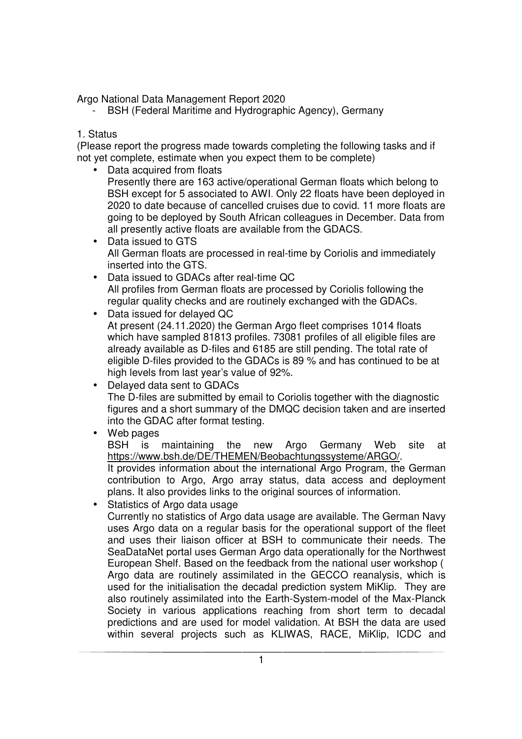Argo National Data Management Report 2020

- BSH (Federal Maritime and Hydrographic Agency), Germany

## 1. Status

(Please report the progress made towards completing the following tasks and if not yet complete, estimate when you expect them to be complete)

- Data acquired from floats Presently there are 163 active/operational German floats which belong to BSH except for 5 associated to AWI. Only 22 floats have been deployed in 2020 to date because of cancelled cruises due to covid. 11 more floats are going to be deployed by South African colleagues in December. Data from all presently active floats are available from the GDACS.
- Data issued to GTS All German floats are processed in real-time by Coriolis and immediately inserted into the GTS.
- Data issued to GDACs after real-time QC All profiles from German floats are processed by Coriolis following the regular quality checks and are routinely exchanged with the GDACs.
- Data issued for delayed QC At present (24.11.2020) the German Argo fleet comprises 1014 floats which have sampled 81813 profiles. 73081 profiles of all eligible files are already available as D-files and 6185 are still pending. The total rate of eligible D-files provided to the GDACs is 89 % and has continued to be at high levels from last year's value of 92%.
- Delayed data sent to GDACs The D-files are submitted by email to Coriolis together with the diagnostic figures and a short summary of the DMQC decision taken and are inserted into the GDAC after format testing.
- Web pages

BSH is maintaining the new Argo Germany Web site at https://www.bsh.de/DE/THEMEN/Beobachtungssysteme/ARGO/. It provides information about the international Argo Program, the German

contribution to Argo, Argo array status, data access and deployment plans. It also provides links to the original sources of information.

• Statistics of Argo data usage

Currently no statistics of Argo data usage are available. The German Navy uses Argo data on a regular basis for the operational support of the fleet and uses their liaison officer at BSH to communicate their needs. The SeaDataNet portal uses German Argo data operationally for the Northwest European Shelf. Based on the feedback from the national user workshop ( Argo data are routinely assimilated in the GECCO reanalysis, which is used for the initialisation the decadal prediction system MiKlip. They are also routinely assimilated into the Earth-System-model of the Max-Planck Society in various applications reaching from short term to decadal predictions and are used for model validation. At BSH the data are used within several projects such as KLIWAS, RACE, MiKlip, ICDC and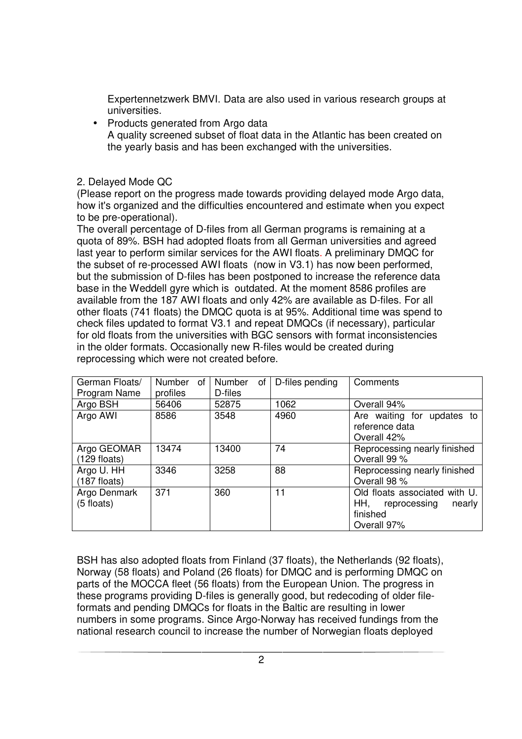Expertennetzwerk BMVI. Data are also used in various research groups at universities.

• Products generated from Argo data A quality screened subset of float data in the Atlantic has been created on the yearly basis and has been exchanged with the universities.

## 2. Delayed Mode QC

(Please report on the progress made towards providing delayed mode Argo data, how it's organized and the difficulties encountered and estimate when you expect to be pre-operational).

The overall percentage of D-files from all German programs is remaining at a quota of 89%. BSH had adopted floats from all German universities and agreed last year to perform similar services for the AWI floats. A preliminary DMQC for the subset of re-processed AWI floats (now in V3.1) has now been performed, but the submission of D-files has been postponed to increase the reference data base in the Weddell gyre which is outdated. At the moment 8586 profiles are available from the 187 AWI floats and only 42% are available as D-files. For all other floats (741 floats) the DMQC quota is at 95%. Additional time was spend to check files updated to format V3.1 and repeat DMQCs (if necessary), particular for old floats from the universities with BGC sensors with format inconsistencies in the older formats. Occasionally new R-files would be created during reprocessing which were not created before.

| German Floats/<br>Program Name | <b>Number</b><br>of<br>profiles | Number<br>οf<br>D-files | D-files pending | Comments                                                                                  |
|--------------------------------|---------------------------------|-------------------------|-----------------|-------------------------------------------------------------------------------------------|
| Argo BSH                       | 56406                           | 52875                   | 1062            | Overall 94%                                                                               |
| Argo AWI                       | 8586                            | 3548                    | 4960            | Are waiting for updates to<br>reference data<br>Overall 42%                               |
| Argo GEOMAR<br>$(129$ floats)  | 13474                           | 13400                   | 74              | Reprocessing nearly finished<br>Overall 99 %                                              |
| Argo U. HH<br>$(187$ floats)   | 3346                            | 3258                    | 88              | Reprocessing nearly finished<br>Overall 98 %                                              |
| Argo Denmark<br>$(5$ floats)   | 371                             | 360                     | 11              | Old floats associated with U.<br>HH,<br>reprocessing<br>nearly<br>finished<br>Overall 97% |

BSH has also adopted floats from Finland (37 floats), the Netherlands (92 floats), Norway (58 floats) and Poland (26 floats) for DMQC and is performing DMQC on parts of the MOCCA fleet (56 floats) from the European Union. The progress in these programs providing D-files is generally good, but redecoding of older fileformats and pending DMQCs for floats in the Baltic are resulting in lower numbers in some programs. Since Argo-Norway has received fundings from the national research council to increase the number of Norwegian floats deployed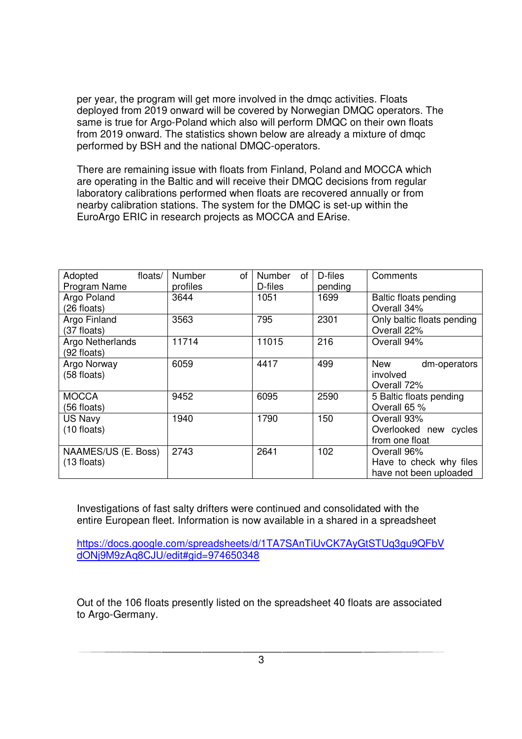per year, the program will get more involved in the dmqc activities. Floats deployed from 2019 onward will be covered by Norwegian DMQC operators. The same is true for Argo-Poland which also will perform DMQC on their own floats from 2019 onward. The statistics shown below are already a mixture of dmqc performed by BSH and the national DMQC-operators.

There are remaining issue with floats from Finland, Poland and MOCCA which are operating in the Baltic and will receive their DMQC decisions from regular laboratory calibrations performed when floats are recovered annually or from nearby calibration stations. The system for the DMQC is set-up within the EuroArgo ERIC in research projects as MOCCA and EArise.

| Adopted               | floats/ | <b>Number</b><br>οf | <b>Number</b><br>οf | D-files | Comments                   |
|-----------------------|---------|---------------------|---------------------|---------|----------------------------|
| Program Name          |         | profiles            | D-files             | pending |                            |
| Argo Poland           |         | 3644                | 1051                | 1699    | Baltic floats pending      |
| (26 floats)           |         |                     |                     |         | Overall 34%                |
| Argo Finland          |         | 3563                | 795                 | 2301    | Only baltic floats pending |
| (37 floats)           |         |                     |                     |         | Overall 22%                |
| Argo Netherlands      |         | 11714               | 11015               | 216     | Overall 94%                |
| (92 floats)           |         |                     |                     |         |                            |
| Argo Norway           |         | 6059                | 4417                | 499     | <b>New</b><br>dm-operators |
| (58 floats)           |         |                     |                     |         | involved                   |
|                       |         |                     |                     |         | Overall 72%                |
| <b>MOCCA</b>          |         | 9452                | 6095                | 2590    | 5 Baltic floats pending    |
| (56 floats)           |         |                     |                     |         | Overall 65 %               |
| <b>US Navy</b>        |         | 1940                | 1790                | 150     | Overall 93%                |
| $(10 \text{ floats})$ |         |                     |                     |         | Overlooked new cycles      |
|                       |         |                     |                     |         | from one float             |
| NAAMES/US (E. Boss)   |         | 2743                | 2641                | 102     | Overall 96%                |
| $(13$ floats)         |         |                     |                     |         | Have to check why files    |
|                       |         |                     |                     |         | have not been uploaded     |

Investigations of fast salty drifters were continued and consolidated with the entire European fleet. Information is now available in a shared in a spreadsheet

https://docs.google.com/spreadsheets/d/1TA7SAnTiUvCK7AyGtSTUq3gu9QFbV dONj9M9zAq8CJU/edit#gid=974650348

Out of the 106 floats presently listed on the spreadsheet 40 floats are associated to Argo-Germany.